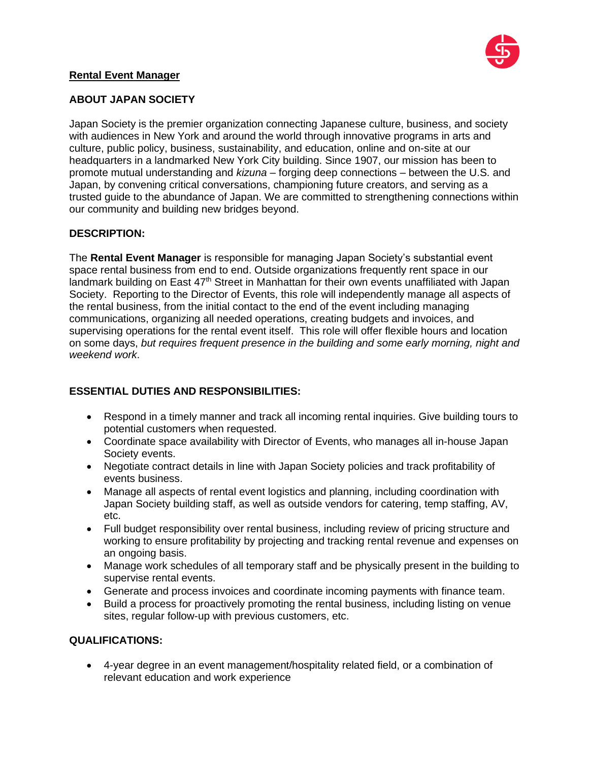

## **Rental Event Manager**

# **ABOUT JAPAN SOCIETY**

Japan Society is the premier organization connecting Japanese culture, business, and society with audiences in New York and around the world through innovative programs in arts and culture, public policy, business, sustainability, and education, online and on-site at our headquarters in a landmarked New York City building. Since 1907, our mission has been to promote mutual understanding and *kizuna* – forging deep connections – between the U.S. and Japan, by convening critical conversations, championing future creators, and serving as a trusted guide to the abundance of Japan. We are committed to strengthening connections within our community and building new bridges beyond.

### **DESCRIPTION:**

The **Rental Event Manager** is responsible for managing Japan Society's substantial event space rental business from end to end. Outside organizations frequently rent space in our landmark building on East 47<sup>th</sup> Street in Manhattan for their own events unaffiliated with Japan Society. Reporting to the Director of Events, this role will independently manage all aspects of the rental business, from the initial contact to the end of the event including managing communications, organizing all needed operations, creating budgets and invoices, and supervising operations for the rental event itself. This role will offer flexible hours and location on some days, *but requires frequent presence in the building and some early morning, night and weekend work*.

# **ESSENTIAL DUTIES AND RESPONSIBILITIES:**

- Respond in a timely manner and track all incoming rental inquiries. Give building tours to potential customers when requested.
- Coordinate space availability with Director of Events, who manages all in-house Japan Society events.
- Negotiate contract details in line with Japan Society policies and track profitability of events business.
- Manage all aspects of rental event logistics and planning, including coordination with Japan Society building staff, as well as outside vendors for catering, temp staffing, AV, etc.
- Full budget responsibility over rental business, including review of pricing structure and working to ensure profitability by projecting and tracking rental revenue and expenses on an ongoing basis.
- Manage work schedules of all temporary staff and be physically present in the building to supervise rental events.
- Generate and process invoices and coordinate incoming payments with finance team.
- Build a process for proactively promoting the rental business, including listing on venue sites, regular follow-up with previous customers, etc.

# **QUALIFICATIONS:**

• 4-year degree in an event management/hospitality related field, or a combination of relevant education and work experience